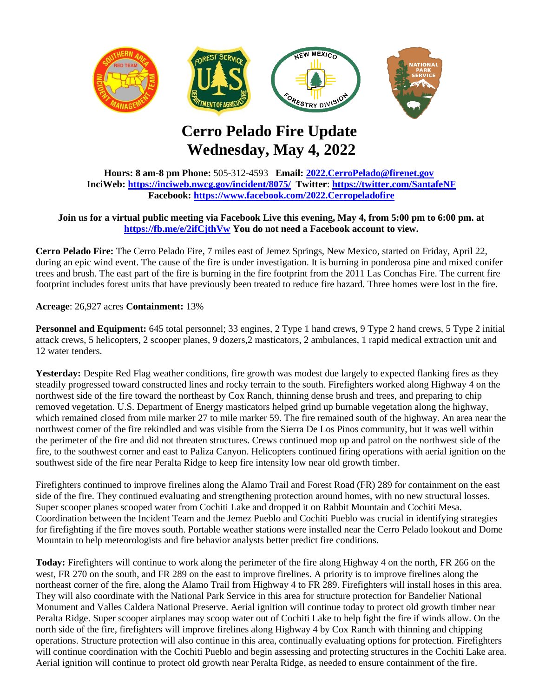

## **Cerro Pelado Fire Update Wednesday, May 4, 2022**

**Hours: 8 am-8 pm Phone:** 505-312-4593 **Email: [2022.CerroPelado@firenet.gov](mailto:2022.CerroPelado@firenet.gov) InciWeb:<https://inciweb.nwcg.gov/incident/8075/> Twitter**: **<https://twitter.com/SantafeNF> Facebook:<https://www.facebook.com/2022.Cerropeladofire>**

## **Join us for a virtual public meeting via Facebook Live this evening, May 4, from 5:00 pm to 6:00 pm. at <https://fb.me/e/2ifCjthVw> You do not need a Facebook account to view.**

**Cerro Pelado Fire:** The Cerro Pelado Fire, 7 miles east of Jemez Springs, New Mexico, started on Friday, April 22, during an epic wind event. The cause of the fire is under investigation. It is burning in ponderosa pine and mixed conifer trees and brush. The east part of the fire is burning in the fire footprint from the 2011 Las Conchas Fire. The current fire footprint includes forest units that have previously been treated to reduce fire hazard. Three homes were lost in the fire.

**Acreage**: 26,927 acres **Containment:** 13%

**Personnel and Equipment:** 645 total personnel; 33 engines, 2 Type 1 hand crews, 9 Type 2 hand crews, 5 Type 2 initial attack crews, 5 helicopters, 2 scooper planes, 9 dozers,2 masticators, 2 ambulances, 1 rapid medical extraction unit and 12 water tenders.

Yesterday: Despite Red Flag weather conditions, fire growth was modest due largely to expected flanking fires as they steadily progressed toward constructed lines and rocky terrain to the south. Firefighters worked along Highway 4 on the northwest side of the fire toward the northeast by Cox Ranch, thinning dense brush and trees, and preparing to chip removed vegetation. U.S. Department of Energy masticators helped grind up burnable vegetation along the highway, which remained closed from mile marker 27 to mile marker 59. The fire remained south of the highway. An area near the northwest corner of the fire rekindled and was visible from the Sierra De Los Pinos community, but it was well within the perimeter of the fire and did not threaten structures. Crews continued mop up and patrol on the northwest side of the fire, to the southwest corner and east to Paliza Canyon. Helicopters continued firing operations with aerial ignition on the southwest side of the fire near Peralta Ridge to keep fire intensity low near old growth timber.

Firefighters continued to improve firelines along the Alamo Trail and Forest Road (FR) 289 for containment on the east side of the fire. They continued evaluating and strengthening protection around homes, with no new structural losses. Super scooper planes scooped water from Cochiti Lake and dropped it on Rabbit Mountain and Cochiti Mesa. Coordination between the Incident Team and the Jemez Pueblo and Cochiti Pueblo was crucial in identifying strategies for firefighting if the fire moves south. Portable weather stations were installed near the Cerro Pelado lookout and Dome Mountain to help meteorologists and fire behavior analysts better predict fire conditions.

**Today:** Firefighters will continue to work along the perimeter of the fire along Highway 4 on the north, FR 266 on the west, FR 270 on the south, and FR 289 on the east to improve firelines. A priority is to improve firelines along the northeast corner of the fire, along the Alamo Trail from Highway 4 to FR 289. Firefighters will install hoses in this area. They will also coordinate with the National Park Service in this area for structure protection for Bandelier National Monument and Valles Caldera National Preserve. Aerial ignition will continue today to protect old growth timber near Peralta Ridge. Super scooper airplanes may scoop water out of Cochiti Lake to help fight the fire if winds allow. On the north side of the fire, firefighters will improve firelines along Highway 4 by Cox Ranch with thinning and chipping operations. Structure protection will also continue in this area, continually evaluating options for protection. Firefighters will continue coordination with the Cochiti Pueblo and begin assessing and protecting structures in the Cochiti Lake area. Aerial ignition will continue to protect old growth near Peralta Ridge, as needed to ensure containment of the fire.